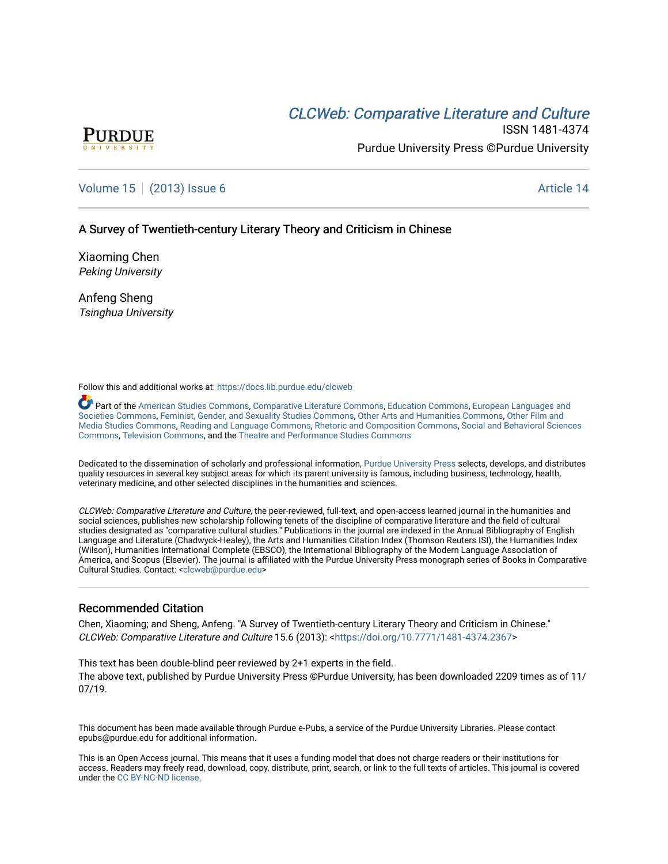# CLCW[eb: Comparative Liter](https://docs.lib.purdue.edu/clcweb)ature and Culture



ISSN 1481-4374 Purdue University Press ©Purdue University

## [Volume 15](https://docs.lib.purdue.edu/clcweb/vol15) | [\(2013\) Issue 6](https://docs.lib.purdue.edu/clcweb/vol15/iss6) Article 14

### A Survey of Twentieth-century Literary Theory and Criticism in Chinese

Xiaoming Chen Peking University

Anfeng Sheng Tsinghua University

Follow this and additional works at: [https://docs.lib.purdue.edu/clcweb](https://docs.lib.purdue.edu/clcweb?utm_source=docs.lib.purdue.edu%2Fclcweb%2Fvol15%2Fiss6%2F14&utm_medium=PDF&utm_campaign=PDFCoverPages)

Part of the [American Studies Commons](http://network.bepress.com/hgg/discipline/439?utm_source=docs.lib.purdue.edu%2Fclcweb%2Fvol15%2Fiss6%2F14&utm_medium=PDF&utm_campaign=PDFCoverPages), [Comparative Literature Commons,](http://network.bepress.com/hgg/discipline/454?utm_source=docs.lib.purdue.edu%2Fclcweb%2Fvol15%2Fiss6%2F14&utm_medium=PDF&utm_campaign=PDFCoverPages) [Education Commons,](http://network.bepress.com/hgg/discipline/784?utm_source=docs.lib.purdue.edu%2Fclcweb%2Fvol15%2Fiss6%2F14&utm_medium=PDF&utm_campaign=PDFCoverPages) [European Languages and](http://network.bepress.com/hgg/discipline/482?utm_source=docs.lib.purdue.edu%2Fclcweb%2Fvol15%2Fiss6%2F14&utm_medium=PDF&utm_campaign=PDFCoverPages) [Societies Commons](http://network.bepress.com/hgg/discipline/482?utm_source=docs.lib.purdue.edu%2Fclcweb%2Fvol15%2Fiss6%2F14&utm_medium=PDF&utm_campaign=PDFCoverPages), [Feminist, Gender, and Sexuality Studies Commons,](http://network.bepress.com/hgg/discipline/559?utm_source=docs.lib.purdue.edu%2Fclcweb%2Fvol15%2Fiss6%2F14&utm_medium=PDF&utm_campaign=PDFCoverPages) [Other Arts and Humanities Commons](http://network.bepress.com/hgg/discipline/577?utm_source=docs.lib.purdue.edu%2Fclcweb%2Fvol15%2Fiss6%2F14&utm_medium=PDF&utm_campaign=PDFCoverPages), [Other Film and](http://network.bepress.com/hgg/discipline/565?utm_source=docs.lib.purdue.edu%2Fclcweb%2Fvol15%2Fiss6%2F14&utm_medium=PDF&utm_campaign=PDFCoverPages)  [Media Studies Commons](http://network.bepress.com/hgg/discipline/565?utm_source=docs.lib.purdue.edu%2Fclcweb%2Fvol15%2Fiss6%2F14&utm_medium=PDF&utm_campaign=PDFCoverPages), [Reading and Language Commons](http://network.bepress.com/hgg/discipline/1037?utm_source=docs.lib.purdue.edu%2Fclcweb%2Fvol15%2Fiss6%2F14&utm_medium=PDF&utm_campaign=PDFCoverPages), [Rhetoric and Composition Commons,](http://network.bepress.com/hgg/discipline/573?utm_source=docs.lib.purdue.edu%2Fclcweb%2Fvol15%2Fiss6%2F14&utm_medium=PDF&utm_campaign=PDFCoverPages) [Social and Behavioral Sciences](http://network.bepress.com/hgg/discipline/316?utm_source=docs.lib.purdue.edu%2Fclcweb%2Fvol15%2Fiss6%2F14&utm_medium=PDF&utm_campaign=PDFCoverPages) [Commons,](http://network.bepress.com/hgg/discipline/316?utm_source=docs.lib.purdue.edu%2Fclcweb%2Fvol15%2Fiss6%2F14&utm_medium=PDF&utm_campaign=PDFCoverPages) [Television Commons,](http://network.bepress.com/hgg/discipline/1143?utm_source=docs.lib.purdue.edu%2Fclcweb%2Fvol15%2Fiss6%2F14&utm_medium=PDF&utm_campaign=PDFCoverPages) and the [Theatre and Performance Studies Commons](http://network.bepress.com/hgg/discipline/552?utm_source=docs.lib.purdue.edu%2Fclcweb%2Fvol15%2Fiss6%2F14&utm_medium=PDF&utm_campaign=PDFCoverPages)

Dedicated to the dissemination of scholarly and professional information, [Purdue University Press](http://www.thepress.purdue.edu/) selects, develops, and distributes quality resources in several key subject areas for which its parent university is famous, including business, technology, health, veterinary medicine, and other selected disciplines in the humanities and sciences.

CLCWeb: Comparative Literature and Culture, the peer-reviewed, full-text, and open-access learned journal in the humanities and social sciences, publishes new scholarship following tenets of the discipline of comparative literature and the field of cultural studies designated as "comparative cultural studies." Publications in the journal are indexed in the Annual Bibliography of English Language and Literature (Chadwyck-Healey), the Arts and Humanities Citation Index (Thomson Reuters ISI), the Humanities Index (Wilson), Humanities International Complete (EBSCO), the International Bibliography of the Modern Language Association of America, and Scopus (Elsevier). The journal is affiliated with the Purdue University Press monograph series of Books in Comparative Cultural Studies. Contact: [<clcweb@purdue.edu](mailto:clcweb@purdue.edu)>

### Recommended Citation

Chen, Xiaoming; and Sheng, Anfeng. "A Survey of Twentieth-century Literary Theory and Criticism in Chinese." CLCWeb: Comparative Literature and Culture 15.6 (2013): <[https://doi.org/10.7771/1481-4374.2367>](https://doi.org/10.7771/1481-4374.2367)

This text has been double-blind peer reviewed by 2+1 experts in the field. The above text, published by Purdue University Press ©Purdue University, has been downloaded 2209 times as of 11/ 07/19.

This document has been made available through Purdue e-Pubs, a service of the Purdue University Libraries. Please contact epubs@purdue.edu for additional information.

This is an Open Access journal. This means that it uses a funding model that does not charge readers or their institutions for access. Readers may freely read, download, copy, distribute, print, search, or link to the full texts of articles. This journal is covered under the [CC BY-NC-ND license.](https://creativecommons.org/licenses/by-nc-nd/4.0/)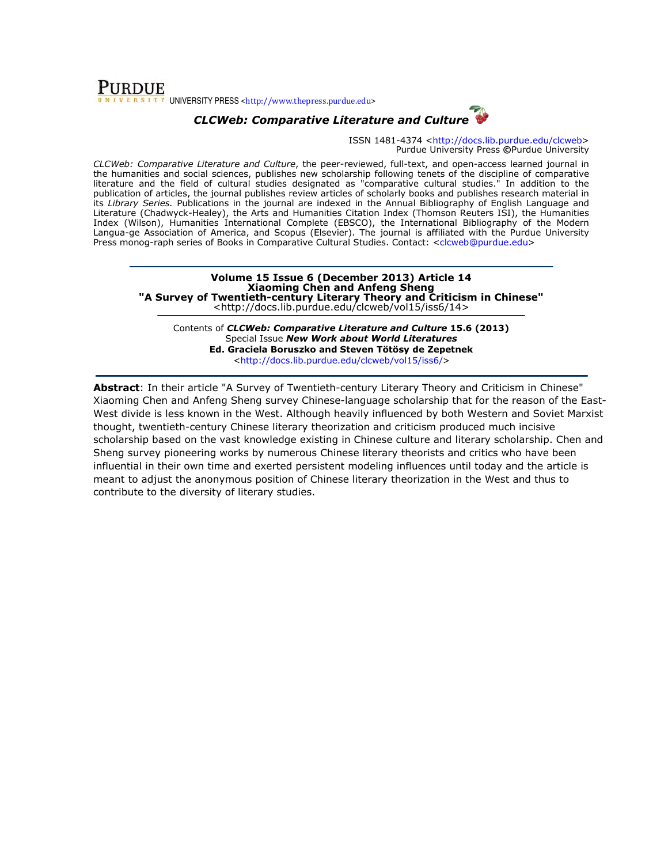## **PURDUE** UNIVERSITY PRESS <http://www.thepress.purdue.edu>

## CLCWeb: Comparative Literature and Culture

ISSN 1481-4374 <http://docs.lib.purdue.edu/clcweb> Purdue University Press ©Purdue University

CLCWeb: Comparative Literature and Culture, the peer-reviewed, full-text, and open-access learned journal in the humanities and social sciences, publishes new scholarship following tenets of the discipline of comparative literature and the field of cultural studies designated as "comparative cultural studies." In addition to the publication of articles, the journal publishes review articles of scholarly books and publishes research material in its Library Series. Publications in the journal are indexed in the Annual Bibliography of English Language and Literature (Chadwyck-Healey), the Arts and Humanities Citation Index (Thomson Reuters ISI), the Humanities Index (Wilson), Humanities International Complete (EBSCO), the International Bibliography of the Modern Langua-ge Association of America, and Scopus (Elsevier). The journal is affiliated with the Purdue University Press monog-raph series of Books in Comparative Cultural Studies. Contact: <clcweb@purdue.edu>

Volume 15 Issue 6 (December 2013) Article 14 Xiaoming Chen and Anfeng Sheng "A Survey of Twentieth-century Literary Theory and Criticism in Chinese" <http://docs.lib.purdue.edu/clcweb/vol15/iss6/14>

Contents of CLCWeb: Comparative Literature and Culture 15.6 (2013) Special Issue New Work about World Literatures Ed. Graciela Boruszko and Steven Tötösy de Zepetnek <http://docs.lib.purdue.edu/clcweb/vol15/iss6/>

Abstract: In their article "A Survey of Twentieth-century Literary Theory and Criticism in Chinese" Xiaoming Chen and Anfeng Sheng survey Chinese-language scholarship that for the reason of the East-West divide is less known in the West. Although heavily influenced by both Western and Soviet Marxist thought, twentieth-century Chinese literary theorization and criticism produced much incisive scholarship based on the vast knowledge existing in Chinese culture and literary scholarship. Chen and Sheng survey pioneering works by numerous Chinese literary theorists and critics who have been influential in their own time and exerted persistent modeling influences until today and the article is meant to adjust the anonymous position of Chinese literary theorization in the West and thus to contribute to the diversity of literary studies.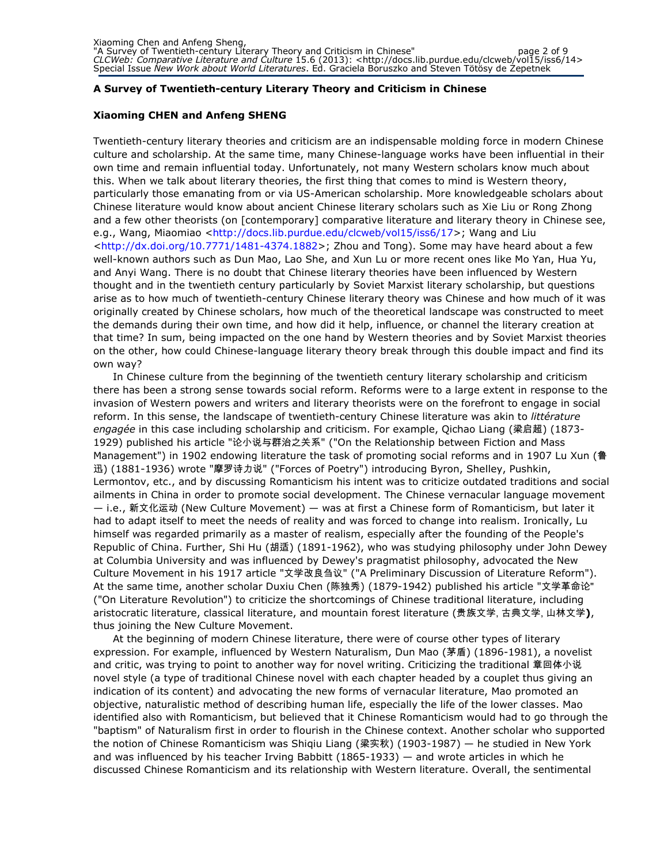### A Survey of Twentieth-century Literary Theory and Criticism in Chinese

### Xiaoming CHEN and Anfeng SHENG

Twentieth-century literary theories and criticism are an indispensable molding force in modern Chinese culture and scholarship. At the same time, many Chinese-language works have been influential in their own time and remain influential today. Unfortunately, not many Western scholars know much about this. When we talk about literary theories, the first thing that comes to mind is Western theory, particularly those emanating from or via US-American scholarship. More knowledgeable scholars about Chinese literature would know about ancient Chinese literary scholars such as Xie Liu or Rong Zhong and a few other theorists (on [contemporary] comparative literature and literary theory in Chinese see, e.g., Wang, Miaomiao <http://docs.lib.purdue.edu/clcweb/vol15/iss6/17>; Wang and Liu <http://dx.doi.org/10.7771/1481-4374.1882>; Zhou and Tong). Some may have heard about a few well-known authors such as Dun Mao, Lao She, and Xun Lu or more recent ones like Mo Yan, Hua Yu, and Anyi Wang. There is no doubt that Chinese literary theories have been influenced by Western thought and in the twentieth century particularly by Soviet Marxist literary scholarship, but questions arise as to how much of twentieth-century Chinese literary theory was Chinese and how much of it was originally created by Chinese scholars, how much of the theoretical landscape was constructed to meet the demands during their own time, and how did it help, influence, or channel the literary creation at that time? In sum, being impacted on the one hand by Western theories and by Soviet Marxist theories on the other, how could Chinese-language literary theory break through this double impact and find its own way?

In Chinese culture from the beginning of the twentieth century literary scholarship and criticism there has been a strong sense towards social reform. Reforms were to a large extent in response to the invasion of Western powers and writers and literary theorists were on the forefront to engage in social reform. In this sense, the landscape of twentieth-century Chinese literature was akin to littérature engagée in this case including scholarship and criticism. For example, Qichao Liang (梁启超) (1873- 1929) published his article "论小说与群治之关系" ("On the Relationship between Fiction and Mass Management") in 1902 endowing literature the task of promoting social reforms and in 1907 Lu Xun (鲁 迅) (1881-1936) wrote "摩罗诗力说" ("Forces of Poetry") introducing Byron, Shelley, Pushkin, Lermontov, etc., and by discussing Romanticism his intent was to criticize outdated traditions and social ailments in China in order to promote social development. The Chinese vernacular language movement — i.e., 新文化运动 (New Culture Movement) — was at first a Chinese form of Romanticism, but later it had to adapt itself to meet the needs of reality and was forced to change into realism. Ironically, Lu himself was regarded primarily as a master of realism, especially after the founding of the People's Republic of China. Further, Shi Hu (胡适) (1891-1962), who was studying philosophy under John Dewey at Columbia University and was influenced by Dewey's pragmatist philosophy, advocated the New Culture Movement in his 1917 article "文学改良刍议" ("A Preliminary Discussion of Literature Reform"). At the same time, another scholar Duxiu Chen (陈独秀) (1879-1942) published his article "文学革命论" ("On Literature Revolution") to criticize the shortcomings of Chinese traditional literature, including aristocratic literature, classical literature, and mountain forest literature (贵族文学, 古典文学, 山林文学), thus joining the New Culture Movement.

At the beginning of modern Chinese literature, there were of course other types of literary expression. For example, influenced by Western Naturalism, Dun Mao (茅盾) (1896-1981), a novelist and critic, was trying to point to another way for novel writing. Criticizing the traditional 章回体小说 novel style (a type of traditional Chinese novel with each chapter headed by a couplet thus giving an indication of its content) and advocating the new forms of vernacular literature, Mao promoted an objective, naturalistic method of describing human life, especially the life of the lower classes. Mao identified also with Romanticism, but believed that it Chinese Romanticism would had to go through the "baptism" of Naturalism first in order to flourish in the Chinese context. Another scholar who supported the notion of Chinese Romanticism was Shiqiu Liang (梁实秋) (1903-1987) — he studied in New York and was influenced by his teacher Irving Babbitt (1865-1933) — and wrote articles in which he discussed Chinese Romanticism and its relationship with Western literature. Overall, the sentimental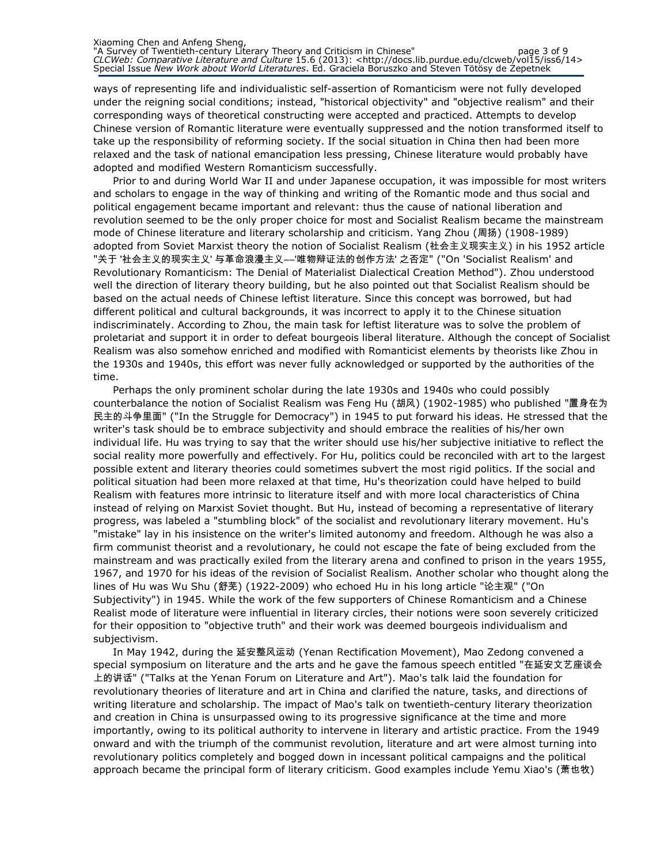ways of representing life and individualistic self-assertion of Romanticism were not fully developed under the reigning social conditions; instead, "historical objectivity" and "objective realism" and their corresponding ways of theoretical constructing were accepted and practiced. Attempts to develop Chinese version of Romantic literature were eventually suppressed and the notion transformed itself to take up the responsibility of reforming society. If the social situation in China then had been more relaxed and the task of national emancipation less pressing, Chinese literature would probably have adopted and modified Western Romanticism successfully.

Prior to and during World War II and under Japanese occupation, it was impossible for most writers and scholars to engage in the way of thinking and writing of the Romantic mode and thus social and political engagement became important and relevant: thus the cause of national liberation and revolution seemed to be the only proper choice for most and Socialist Realism became the mainstream mode of Chinese literature and literary scholarship and criticism. Yang Zhou (周扬) (1908-1989) adopted from Soviet Marxist theory the notion of Socialist Realism (社会主义现实主义) in his 1952 article "关于 '社会主义的现实主义' 与革命浪漫主义――'唯物辩证法的创作方法' 之否定" ("On 'Socialist Realism' and Revolutionary Romanticism: The Denial of Materialist Dialectical Creation Method"). Zhou understood well the direction of literary theory building, but he also pointed out that Socialist Realism should be based on the actual needs of Chinese leftist literature. Since this concept was borrowed, but had different political and cultural backgrounds, it was incorrect to apply it to the Chinese situation indiscriminately. According to Zhou, the main task for leftist literature was to solve the problem of proletariat and support it in order to defeat bourgeois liberal literature. Although the concept of Socialist Realism was also somehow enriched and modified with Romanticist elements by theorists like Zhou in the 1930s and 1940s, this effort was never fully acknowledged or supported by the authorities of the time.

Perhaps the only prominent scholar during the late 1930s and 1940s who could possibly counterbalance the notion of Socialist Realism was Feng Hu (胡风) (1902-1985) who published "置身在为 民主的斗争里面" ("In the Struggle for Democracy") in 1945 to put forward his ideas. He stressed that the writer's task should be to embrace subjectivity and should embrace the realities of his/her own individual life. Hu was trying to say that the writer should use his/her subjective initiative to reflect the social reality more powerfully and effectively. For Hu, politics could be reconciled with art to the largest possible extent and literary theories could sometimes subvert the most rigid politics. If the social and political situation had been more relaxed at that time, Hu's theorization could have helped to build Realism with features more intrinsic to literature itself and with more local characteristics of China instead of relying on Marxist Soviet thought. But Hu, instead of becoming a representative of literary progress, was labeled a "stumbling block" of the socialist and revolutionary literary movement. Hu's "mistake" lay in his insistence on the writer's limited autonomy and freedom. Although he was also a firm communist theorist and a revolutionary, he could not escape the fate of being excluded from the mainstream and was practically exiled from the literary arena and confined to prison in the years 1955, 1967, and 1970 for his ideas of the revision of Socialist Realism. Another scholar who thought along the lines of Hu was Wu Shu (舒芜) (1922-2009) who echoed Hu in his long article "论主观" ("On Subjectivity") in 1945. While the work of the few supporters of Chinese Romanticism and a Chinese Realist mode of literature were influential in literary circles, their notions were soon severely criticized for their opposition to "objective truth" and their work was deemed bourgeois individualism and subjectivism.

In May 1942, during the 延安整风运动 (Yenan Rectification Movement), Mao Zedong convened a special symposium on literature and the arts and he gave the famous speech entitled "在延安文艺座谈会 上的讲话" ("Talks at the Yenan Forum on Literature and Art"). Mao's talk laid the foundation for revolutionary theories of literature and art in China and clarified the nature, tasks, and directions of writing literature and scholarship. The impact of Mao's talk on twentieth-century literary theorization and creation in China is unsurpassed owing to its progressive significance at the time and more importantly, owing to its political authority to intervene in literary and artistic practice. From the 1949 onward and with the triumph of the communist revolution, literature and art were almost turning into revolutionary politics completely and bogged down in incessant political campaigns and the political approach became the principal form of literary criticism. Good examples include Yemu Xiao's (萧也牧)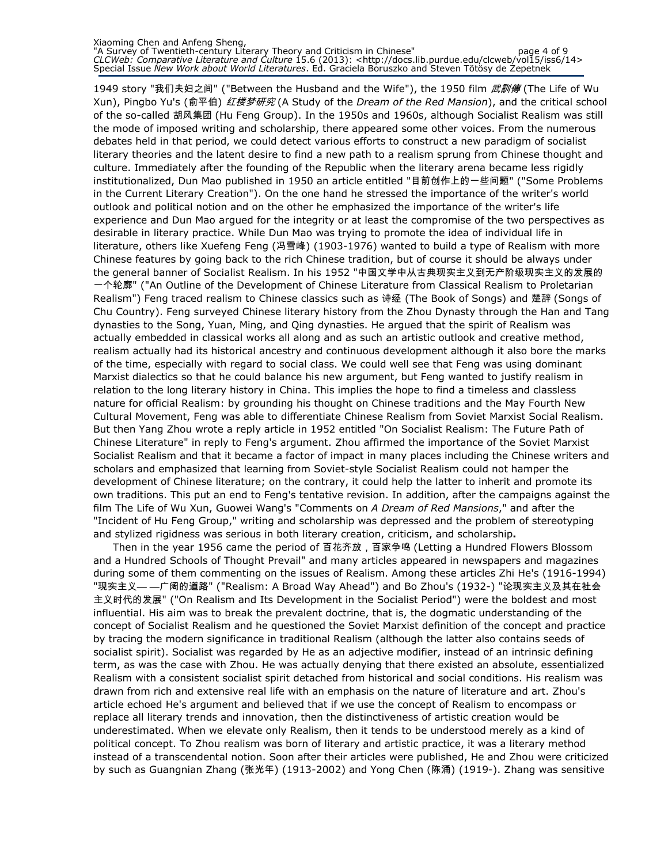#### Xiaoming Chen and Anfeng Sheng, "A Survey of Twentieth-century Literary Theory and Criticism in Chinese" page 4 of 9 CLCWeb: Comparative Literature and Culture 15.6 (2013): <http://docs.lib.purdue.edu/clcweb/vol15/iss6/14> Special Issue New Work about World Literatures. Ed. Graciela Boruszko and Steven Tötösy de Zepetnek

1949 story "我们夫妇之间" ("Between the Husband and the Wife"), the 1950 film *武訓傳* (The Life of Wu Xun), Pingbo Yu's (俞平伯) 红楼梦研究 (A Study of the *Dream of the Red Mansion*), and the critical school of the so-called 胡风集团 (Hu Feng Group). In the 1950s and 1960s, although Socialist Realism was still the mode of imposed writing and scholarship, there appeared some other voices. From the numerous debates held in that period, we could detect various efforts to construct a new paradigm of socialist literary theories and the latent desire to find a new path to a realism sprung from Chinese thought and culture. Immediately after the founding of the Republic when the literary arena became less rigidly institutionalized, Dun Mao published in 1950 an article entitled "目前创作上的一些问题" ("Some Problems in the Current Literary Creation"). On the one hand he stressed the importance of the writer's world outlook and political notion and on the other he emphasized the importance of the writer's life experience and Dun Mao argued for the integrity or at least the compromise of the two perspectives as desirable in literary practice. While Dun Mao was trying to promote the idea of individual life in literature, others like Xuefeng Feng (冯雪峰) (1903-1976) wanted to build a type of Realism with more Chinese features by going back to the rich Chinese tradition, but of course it should be always under the general banner of Socialist Realism. In his 1952 "中国文学中从古典现实主义到无产阶级现实主义的发展的 一个轮廓" ("An Outline of the Development of Chinese Literature from Classical Realism to Proletarian Realism") Feng traced realism to Chinese classics such as 诗经 (The Book of Songs) and 楚辞 (Songs of Chu Country). Feng surveyed Chinese literary history from the Zhou Dynasty through the Han and Tang dynasties to the Song, Yuan, Ming, and Qing dynasties. He argued that the spirit of Realism was actually embedded in classical works all along and as such an artistic outlook and creative method, realism actually had its historical ancestry and continuous development although it also bore the marks of the time, especially with regard to social class. We could well see that Feng was using dominant Marxist dialectics so that he could balance his new argument, but Feng wanted to justify realism in relation to the long literary history in China. This implies the hope to find a timeless and classless nature for official Realism: by grounding his thought on Chinese traditions and the May Fourth New Cultural Movement, Feng was able to differentiate Chinese Realism from Soviet Marxist Social Realism. But then Yang Zhou wrote a reply article in 1952 entitled "On Socialist Realism: The Future Path of Chinese Literature" in reply to Feng's argument. Zhou affirmed the importance of the Soviet Marxist Socialist Realism and that it became a factor of impact in many places including the Chinese writers and scholars and emphasized that learning from Soviet-style Socialist Realism could not hamper the development of Chinese literature; on the contrary, it could help the latter to inherit and promote its own traditions. This put an end to Feng's tentative revision. In addition, after the campaigns against the film The Life of Wu Xun, Guowei Wang's "Comments on A Dream of Red Mansions," and after the "Incident of Hu Feng Group," writing and scholarship was depressed and the problem of stereotyping and stylized rigidness was serious in both literary creation, criticism, and scholarship.

Then in the year 1956 came the period of 百花齐放,百家争鸣 (Letting a Hundred Flowers Blossom and a Hundred Schools of Thought Prevail" and many articles appeared in newspapers and magazines during some of them commenting on the issues of Realism. Among these articles Zhi He's (1916-1994) "现实主义— —广阔的道路" ("Realism: A Broad Way Ahead") and Bo Zhou's (1932-) "论现实主义及其在社会 主义时代的发展" ("On Realism and Its Development in the Socialist Period") were the boldest and most influential. His aim was to break the prevalent doctrine, that is, the dogmatic understanding of the concept of Socialist Realism and he questioned the Soviet Marxist definition of the concept and practice by tracing the modern significance in traditional Realism (although the latter also contains seeds of socialist spirit). Socialist was regarded by He as an adjective modifier, instead of an intrinsic defining term, as was the case with Zhou. He was actually denying that there existed an absolute, essentialized Realism with a consistent socialist spirit detached from historical and social conditions. His realism was drawn from rich and extensive real life with an emphasis on the nature of literature and art. Zhou's article echoed He's argument and believed that if we use the concept of Realism to encompass or replace all literary trends and innovation, then the distinctiveness of artistic creation would be underestimated. When we elevate only Realism, then it tends to be understood merely as a kind of political concept. To Zhou realism was born of literary and artistic practice, it was a literary method instead of a transcendental notion. Soon after their articles were published, He and Zhou were criticized by such as Guangnian Zhang (张光年) (1913-2002) and Yong Chen (陈涌) (1919-). Zhang was sensitive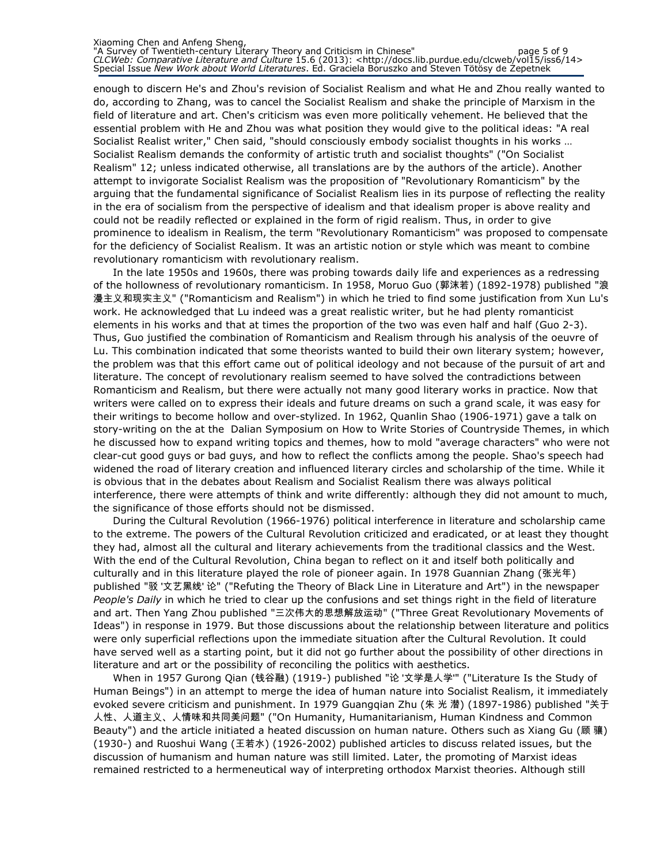enough to discern He's and Zhou's revision of Socialist Realism and what He and Zhou really wanted to do, according to Zhang, was to cancel the Socialist Realism and shake the principle of Marxism in the field of literature and art. Chen's criticism was even more politically vehement. He believed that the essential problem with He and Zhou was what position they would give to the political ideas: "A real Socialist Realist writer," Chen said, "should consciously embody socialist thoughts in his works … Socialist Realism demands the conformity of artistic truth and socialist thoughts" ("On Socialist Realism" 12; unless indicated otherwise, all translations are by the authors of the article). Another attempt to invigorate Socialist Realism was the proposition of "Revolutionary Romanticism" by the arguing that the fundamental significance of Socialist Realism lies in its purpose of reflecting the reality in the era of socialism from the perspective of idealism and that idealism proper is above reality and could not be readily reflected or explained in the form of rigid realism. Thus, in order to give prominence to idealism in Realism, the term "Revolutionary Romanticism" was proposed to compensate for the deficiency of Socialist Realism. It was an artistic notion or style which was meant to combine revolutionary romanticism with revolutionary realism.

In the late 1950s and 1960s, there was probing towards daily life and experiences as a redressing of the hollowness of revolutionary romanticism. In 1958, Moruo Guo (郭沫若) (1892-1978) published "浪 漫主义和现实主义" ("Romanticism and Realism") in which he tried to find some justification from Xun Lu's work. He acknowledged that Lu indeed was a great realistic writer, but he had plenty romanticist elements in his works and that at times the proportion of the two was even half and half (Guo 2-3). Thus, Guo justified the combination of Romanticism and Realism through his analysis of the oeuvre of Lu. This combination indicated that some theorists wanted to build their own literary system; however, the problem was that this effort came out of political ideology and not because of the pursuit of art and literature. The concept of revolutionary realism seemed to have solved the contradictions between Romanticism and Realism, but there were actually not many good literary works in practice. Now that writers were called on to express their ideals and future dreams on such a grand scale, it was easy for their writings to become hollow and over-stylized. In 1962, Quanlin Shao (1906-1971) gave a talk on story-writing on the at the Dalian Symposium on How to Write Stories of Countryside Themes, in which he discussed how to expand writing topics and themes, how to mold "average characters" who were not clear-cut good guys or bad guys, and how to reflect the conflicts among the people. Shao's speech had widened the road of literary creation and influenced literary circles and scholarship of the time. While it is obvious that in the debates about Realism and Socialist Realism there was always political interference, there were attempts of think and write differently: although they did not amount to much, the significance of those efforts should not be dismissed.

During the Cultural Revolution (1966-1976) political interference in literature and scholarship came to the extreme. The powers of the Cultural Revolution criticized and eradicated, or at least they thought they had, almost all the cultural and literary achievements from the traditional classics and the West. With the end of the Cultural Revolution, China began to reflect on it and itself both politically and culturally and in this literature played the role of pioneer again. In 1978 Guannian Zhang (张光年) published "驳 '文艺黑线' 论" ("Refuting the Theory of Black Line in Literature and Art") in the newspaper People's Daily in which he tried to clear up the confusions and set things right in the field of literature and art. Then Yang Zhou published "三次伟大的思想解放运动" ("Three Great Revolutionary Movements of Ideas") in response in 1979. But those discussions about the relationship between literature and politics were only superficial reflections upon the immediate situation after the Cultural Revolution. It could have served well as a starting point, but it did not go further about the possibility of other directions in literature and art or the possibility of reconciling the politics with aesthetics.

When in 1957 Gurong Qian (钱谷融) (1919-) published "论 '文学是人学'" ("Literature Is the Study of Human Beings") in an attempt to merge the idea of human nature into Socialist Realism, it immediately evoked severe criticism and punishment. In 1979 Guangqian Zhu (朱 光 潜) (1897-1986) published "关于 人性、人道主义、人情味和共同美问题" ("On Humanity, Humanitarianism, Human Kindness and Common Beauty") and the article initiated a heated discussion on human nature. Others such as Xiang Gu (顾 骧) (1930-) and Ruoshui Wang (王若水) (1926-2002) published articles to discuss related issues, but the discussion of humanism and human nature was still limited. Later, the promoting of Marxist ideas remained restricted to a hermeneutical way of interpreting orthodox Marxist theories. Although still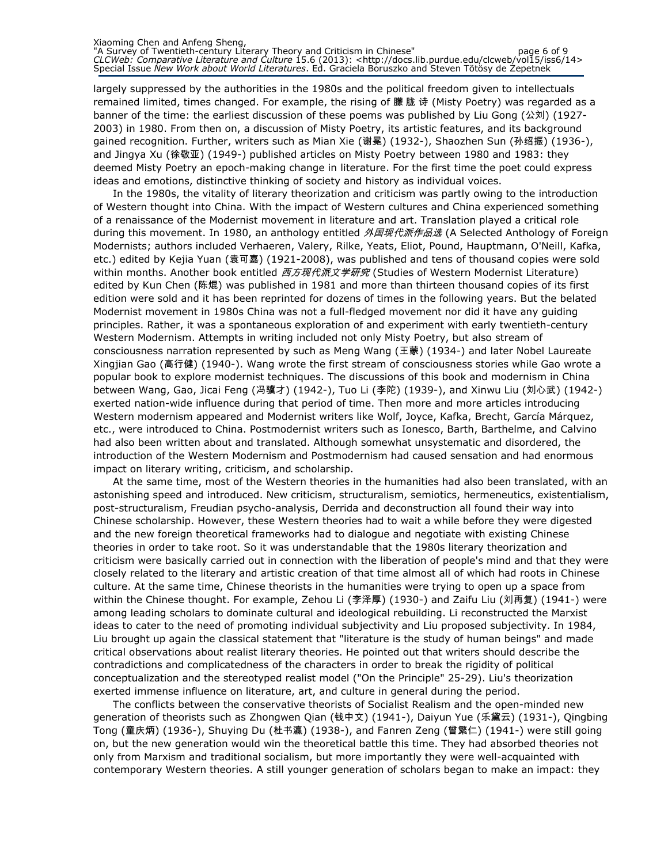largely suppressed by the authorities in the 1980s and the political freedom given to intellectuals remained limited, times changed. For example, the rising of 朦 胧 诗 (Misty Poetry) was regarded as a banner of the time: the earliest discussion of these poems was published by Liu Gong (公刘) (1927-2003) in 1980. From then on, a discussion of Misty Poetry, its artistic features, and its background gained recognition. Further, writers such as Mian Xie (谢冕) (1932-), Shaozhen Sun (孙绍振) (1936-), and Jingya Xu (徐敬亚) (1949-) published articles on Misty Poetry between 1980 and 1983: they deemed Misty Poetry an epoch-making change in literature. For the first time the poet could express ideas and emotions, distinctive thinking of society and history as individual voices.

In the 1980s, the vitality of literary theorization and criticism was partly owing to the introduction of Western thought into China. With the impact of Western cultures and China experienced something of a renaissance of the Modernist movement in literature and art. Translation played a critical role during this movement. In 1980, an anthology entitled *外国现代派作品选* (A Selected Anthology of Foreign Modernists; authors included Verhaeren, Valery, Rilke, Yeats, Eliot, Pound, Hauptmann, O'Neill, Kafka, etc.) edited by Kejia Yuan (袁可嘉) (1921-2008), was published and tens of thousand copies were sold within months. Another book entitled *西方现代派文学研究* (Studies of Western Modernist Literature) edited by Kun Chen (陈焜) was published in 1981 and more than thirteen thousand copies of its first edition were sold and it has been reprinted for dozens of times in the following years. But the belated Modernist movement in 1980s China was not a full-fledged movement nor did it have any guiding principles. Rather, it was a spontaneous exploration of and experiment with early twentieth-century Western Modernism. Attempts in writing included not only Misty Poetry, but also stream of consciousness narration represented by such as Meng Wang (王蒙) (1934-) and later Nobel Laureate Xingjian Gao (高行健) (1940-). Wang wrote the first stream of consciousness stories while Gao wrote a popular book to explore modernist techniques. The discussions of this book and modernism in China between Wang, Gao, Jicai Feng (冯骥才) (1942-), Tuo Li (李陀) (1939-), and Xinwu Liu (刘心武) (1942-) exerted nation-wide influence during that period of time. Then more and more articles introducing Western modernism appeared and Modernist writers like Wolf, Joyce, Kafka, Brecht, García Márquez, etc., were introduced to China. Postmodernist writers such as Ionesco, Barth, Barthelme, and Calvino had also been written about and translated. Although somewhat unsystematic and disordered, the introduction of the Western Modernism and Postmodernism had caused sensation and had enormous impact on literary writing, criticism, and scholarship.

At the same time, most of the Western theories in the humanities had also been translated, with an astonishing speed and introduced. New criticism, structuralism, semiotics, hermeneutics, existentialism, post-structuralism, Freudian psycho-analysis, Derrida and deconstruction all found their way into Chinese scholarship. However, these Western theories had to wait a while before they were digested and the new foreign theoretical frameworks had to dialogue and negotiate with existing Chinese theories in order to take root. So it was understandable that the 1980s literary theorization and criticism were basically carried out in connection with the liberation of people's mind and that they were closely related to the literary and artistic creation of that time almost all of which had roots in Chinese culture. At the same time, Chinese theorists in the humanities were trying to open up a space from within the Chinese thought. For example, Zehou Li (李泽厚) (1930-) and Zaifu Liu (刘再复) (1941-) were among leading scholars to dominate cultural and ideological rebuilding. Li reconstructed the Marxist ideas to cater to the need of promoting individual subjectivity and Liu proposed subjectivity. In 1984, Liu brought up again the classical statement that "literature is the study of human beings" and made critical observations about realist literary theories. He pointed out that writers should describe the contradictions and complicatedness of the characters in order to break the rigidity of political conceptualization and the stereotyped realist model ("On the Principle" 25-29). Liu's theorization exerted immense influence on literature, art, and culture in general during the period.

The conflicts between the conservative theorists of Socialist Realism and the open-minded new generation of theorists such as Zhongwen Qian (钱中文) (1941-), Daiyun Yue (乐黛云) (1931-), Qingbing Tong (童庆炳) (1936-), Shuying Du (杜书瀛) (1938-), and Fanren Zeng (曾繁仁) (1941-) were still going on, but the new generation would win the theoretical battle this time. They had absorbed theories not only from Marxism and traditional socialism, but more importantly they were well-acquainted with contemporary Western theories. A still younger generation of scholars began to make an impact: they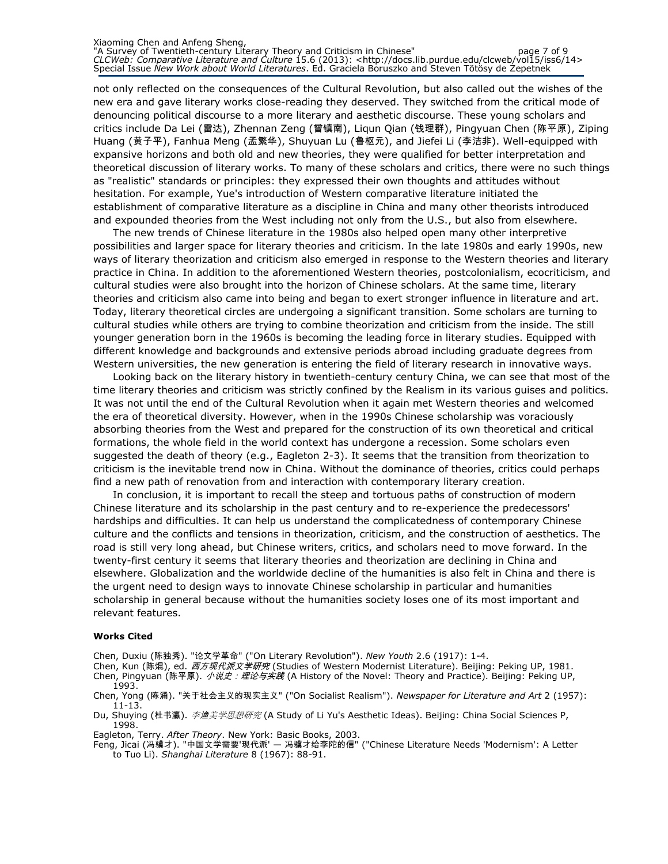#### Xiaoming Chen and Anfeng Sheng, "A Survey of Twentieth-century Literary Theory and Criticism in Chinese" page 7 of 9 CLCWeb: Comparative Literature and Culture 15.6 (2013): <http://docs.lib.purdue.edu/clcweb/vol15/iss6/14> Special Issue New Work about World Literatures. Ed. Graciela Boruszko and Steven Tötösy de Zepetnek

not only reflected on the consequences of the Cultural Revolution, but also called out the wishes of the new era and gave literary works close-reading they deserved. They switched from the critical mode of denouncing political discourse to a more literary and aesthetic discourse. These young scholars and critics include Da Lei (雷达), Zhennan Zeng (曾镇南), Liqun Qian (钱理群), Pingyuan Chen (陈平原), Ziping Huang (黄子平), Fanhua Meng (孟繁华), Shuyuan Lu (鲁枢元), and Jiefei Li (李洁非). Well-equipped with expansive horizons and both old and new theories, they were qualified for better interpretation and theoretical discussion of literary works. To many of these scholars and critics, there were no such things as "realistic" standards or principles: they expressed their own thoughts and attitudes without hesitation. For example, Yue's introduction of Western comparative literature initiated the establishment of comparative literature as a discipline in China and many other theorists introduced and expounded theories from the West including not only from the U.S., but also from elsewhere.

The new trends of Chinese literature in the 1980s also helped open many other interpretive possibilities and larger space for literary theories and criticism. In the late 1980s and early 1990s, new ways of literary theorization and criticism also emerged in response to the Western theories and literary practice in China. In addition to the aforementioned Western theories, postcolonialism, ecocriticism, and cultural studies were also brought into the horizon of Chinese scholars. At the same time, literary theories and criticism also came into being and began to exert stronger influence in literature and art. Today, literary theoretical circles are undergoing a significant transition. Some scholars are turning to cultural studies while others are trying to combine theorization and criticism from the inside. The still younger generation born in the 1960s is becoming the leading force in literary studies. Equipped with different knowledge and backgrounds and extensive periods abroad including graduate degrees from Western universities, the new generation is entering the field of literary research in innovative ways.

Looking back on the literary history in twentieth-century century China, we can see that most of the time literary theories and criticism was strictly confined by the Realism in its various guises and politics. It was not until the end of the Cultural Revolution when it again met Western theories and welcomed the era of theoretical diversity. However, when in the 1990s Chinese scholarship was voraciously absorbing theories from the West and prepared for the construction of its own theoretical and critical formations, the whole field in the world context has undergone a recession. Some scholars even suggested the death of theory (e.g., Eagleton 2-3). It seems that the transition from theorization to criticism is the inevitable trend now in China. Without the dominance of theories, critics could perhaps find a new path of renovation from and interaction with contemporary literary creation.

In conclusion, it is important to recall the steep and tortuous paths of construction of modern Chinese literature and its scholarship in the past century and to re-experience the predecessors' hardships and difficulties. It can help us understand the complicatedness of contemporary Chinese culture and the conflicts and tensions in theorization, criticism, and the construction of aesthetics. The road is still very long ahead, but Chinese writers, critics, and scholars need to move forward. In the twenty-first century it seems that literary theories and theorization are declining in China and elsewhere. Globalization and the worldwide decline of the humanities is also felt in China and there is the urgent need to design ways to innovate Chinese scholarship in particular and humanities scholarship in general because without the humanities society loses one of its most important and relevant features.

#### Works Cited

Chen, Duxiu (陈独秀). "论文学革命" ("On Literary Revolution"). New Youth 2.6 (1917): 1-4.

Chen, Kun (陈焜), ed. *西方现代派文学研究* (Studies of Western Modernist Literature). Beijing: Peking UP, 1981. Chen, Pingyuan (陈平原). *小说史: 理论与实践* (A History of the Novel: Theory and Practice). Beijing: Peking UP, 1993.

Chen, Yong (陈涌). "关于社会主义的现实主义" ("On Socialist Realism"). Newspaper for Literature and Art 2 (1957): 11-13.

Du, Shuying (杜书瀛). *李渔美学思想研究* (A Study of Li Yu's Aesthetic Ideas). Beijing: China Social Sciences P, 1998.

Eagleton, Terry. After Theory. New York: Basic Books, 2003.

Feng, Jicai (冯骥才). "中国文学需要'现代派' — 冯骥才给李陀的信" ("Chinese Literature Needs 'Modernism': A Letter to Tuo Li). Shanghai Literature 8 (1967): 88-91.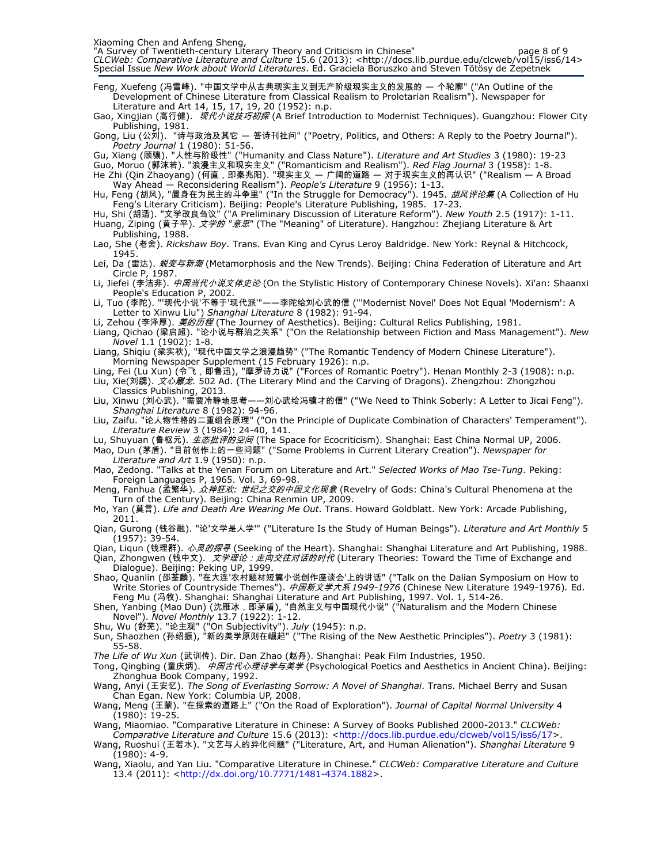Xiaoming Chen and Anfeng Sheng,

"A Survey of Twentieth-century Literary Theory and Criticism in Chinese" page 8 of 9 CLCWeb: Comparative Literature and Culture 15.6 (2013): <http://docs.lib.purdue.edu/clcweb/vol15/iss6/14> Special Issue New Work about World Literatures. Ed. Graciela Boruszko and Steven Tötösy de Zepetnek

Feng, Xuefeng (冯雪峰). "中国文学中从古典现实主义到无产阶级现实主义的发展的 — 个轮廓" ("An Outline of the Development of Chinese Literature from Classical Realism to Proletarian Realism"). Newspaper for Literature and Art 14, 15, 17, 19, 20 (1952): n.p.

Gao, Xingjian (高行健). 现代小说技巧初探 (A Brief Introduction to Modernist Techniques). Guangzhou: Flower City Publishing, 1981.

Gong, Liu (公刘). "诗与政治及其它 — 答诗刊社问" ("Poetry, Politics, and Others: A Reply to the Poetry Journal"). Poetry Journal 1 (1980): 51-56.

Gu, Xiang (顾骧). "人性与阶级性" ("Humanity and Class Nature"). *Literature and Art Studies* 3 (1980): 19-23

Guo, Moruo (郭沫若). "浪漫主义和现实主义" ("Romanticism and Realism"). *Red Flag Journal* 3 (1958): 1-8. He Zhi (Qin Zhaoyang) (何直,即秦兆阳). "现实主义 — 广阔的道路 — 对于现实主义的再认识" ("Realism — A Broad

Way Ahead — Reconsidering Realism"). People's Literature 9 (1956): 1-13. Hu, Feng (胡风), "置身在为民主的斗争里" ("In the Struggle for Democracy"). 1945. *胡风评论集* (A Collection of Hu Feng's Literary Criticism). Beijing: People's Literature Publishing, 1985. 17-23.

Hu, Shi (胡适). "文学改良刍议" ("A Preliminary Discussion of Literature Reform"). New Youth 2.5 (1917): 1-11. Huang, Ziping (黄子平). *文学的 "意思"* (The "Meaning" of Literature). Hangzhou: Zhejiang Literature & Art

Publishing, 1988. Lao, She (老舍). Rickshaw Boy. Trans. Evan King and Cyrus Leroy Baldridge. New York: Reynal & Hitchcock, 1945.

Lei, Da (雷达). *蜕变与新潮* (Metamorphosis and the New Trends). Beijing: China Federation of Literature and Art Circle P, 1987.

Li, Jiefei (李洁非). *中国当代小说文体史论* (On the Stylistic History of Contemporary Chinese Novels). Xi'an: Shaanxi People's Education P, 2002.

Li, Tuo (李陀). "'现代小说'不等于'现代派'"——李陀给刘心武的信 ("'Modernist Novel' Does Not Equal 'Modernism': A Letter to Xinwu Liu") Shanghai Literature 8 (1982): 91-94.

Li, Zehou (李泽厚). *美的历程* (The Journey of Aesthetics). Beijing: Cultural Relics Publishing, 1981.

Liang, Qichao (梁启超). "论小说与群治之关系" ("On the Relationship between Fiction and Mass Management"). New Novel 1.1 (1902): 1-8.

Liang, Shiqiu (梁实秋), "现代中国文学之浪漫趋势" ("The Romantic Tendency of Modern Chinese Literature"). Morning Newspaper Supplement (15 February 1926): n.p.

Ling, Fei (Lu Xun) (令飞,即鲁迅), "摩罗诗力说" ("Forces of Romantic Poetry"). Henan Monthly 2-3 (1908): n.p.

Liu, Xie(刘勰). *文心雕龙.* 502 Ad. (The Literary Mind and the Carving of Dragons). Zhengzhou: Zhongzhou Classics Publishing, 2013.

Liu, Xinwu (刘心武). "需要冷静地思考——刘心武给冯骥才的信" ("We Need to Think Soberly: A Letter to Jicai Feng"). Shanghai Literature 8 (1982): 94-96.

Liu, Zaifu. "论人物性格的二重组合原理" ("On the Principle of Duplicate Combination of Characters' Temperament"). Literature Review 3 (1984): 24-40, 141.

Lu, Shuyuan (鲁枢元). 生态批评的空间 (The Space for Ecocriticism). Shanghai: East China Normal UP, 2006.

Mao, Dun (茅盾). "目前创作上的一些问题" ("Some Problems in Current Literary Creation"). Newspaper for Literature and Art 1.9 (1950): n.p.

Mao, Zedong. "Talks at the Yenan Forum on Literature and Art." Selected Works of Mao Tse-Tung. Peking: Foreign Languages P, 1965. Vol. 3, 69-98.

Meng, Fanhua (孟繁华). *众神狂欢: 世纪之交的中国文化现象* (Revelry of Gods: China's Cultural Phenomena at the Turn of the Century). Beijing: China Renmin UP, 2009.

Mo, Yan (莫言). Life and Death Are Wearing Me Out. Trans. Howard Goldblatt. New York: Arcade Publishing, 2011.

Qian, Gurong (钱谷融). "论'文学是人学'" ("Literature Is the Study of Human Beings"). Literature and Art Monthly 5  $(1957)$ : 39-54.

Qian, Liqun (钱理群). *心灵的探寻* (Seeking of the Heart). Shanghai: Shanghai Literature and Art Publishing, 1988.

Qian, Zhongwen (钱中文). *文学理论: 走向交往对话的时代* (Literary Theories: Toward the Time of Exchange and Dialogue). Beijing: Peking UP, 1999.

Shao, Quanlin (邵荃麟). "在大连'农村题材短篇小说创作座谈会'上的讲话" ("Talk on the Dalian Symposium on How to Write Stories of Countryside Themes"). *中国新文学大系 1949-1976* (Chinese New Literature 1949-1976)*.* Ed. Feng Mu (冯牧). Shanghai: Shanghai Literature and Art Publishing, 1997. Vol. 1, 514-26.

Shen, Yanbing (Mao Dun) (沈雁冰, 即茅盾), "自然主义与中国现代小说" ("Naturalism and the Modern Chinese Novel"). Novel Monthly 13.7 (1922): 1-12.

Shu, Wu (舒芜). "论主观" ("On Subjectivity"). *July* (1945): n.p.

Sun, Shaozhen (孙绍振), "新的美学原则在崛起" ("The Rising of the New Aesthetic Principles"). *Poetry* 3 (1981): 55-58.

The Life of Wu Xun (武训传). Dir. Dan Zhao (赵丹). Shanghai: Peak Film Industries, 1950.

Tong, Qingbing (童庆炳). 中*国古代心理诗学与美学* (Psychological Poetics and Aesthetics in Ancient China). Beijing: Zhonghua Book Company, 1992.

Wang, Anyi (王安忆). The Song of Everlasting Sorrow: A Novel of Shanghai. Trans. Michael Berry and Susan Chan Egan. New York: Columbia UP, 2008.

Wang, Meng (王蒙). "在探索的道路上" ("On the Road of Exploration"). Journal of Capital Normal University 4  $(1980)$ : 19-25.

Wang, Miaomiao. "Comparative Literature in Chinese: A Survey of Books Published 2000-2013." CLCWeb: Comparative Literature and Culture 15.6 (2013): <http://docs.lib.purdue.edu/clcweb/vol15/iss6/17>.

Wang, Ruoshui (王若水). "文艺与人的异化问题" ("Literature, Art, and Human Alienation"). Shanghai Literature 9 (1980): 4-9.

Wang, Xiaolu, and Yan Liu. "Comparative Literature in Chinese." CLCWeb: Comparative Literature and Culture 13.4 (2011): <http://dx.doi.org/10.7771/1481-4374.1882>.